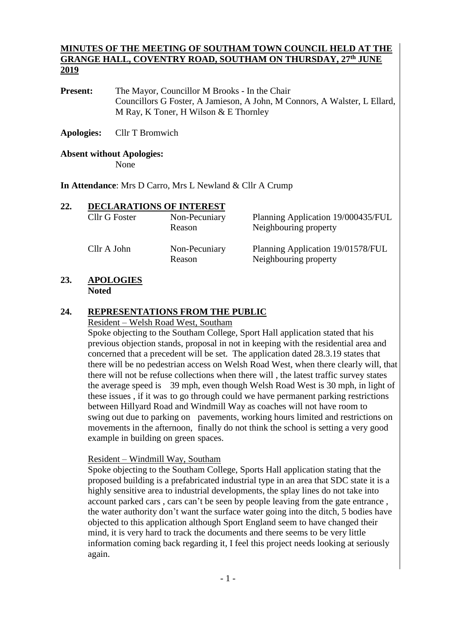#### **MINUTES OF THE MEETING OF SOUTHAM TOWN COUNCIL HELD AT THE GRANGE HALL, COVENTRY ROAD, SOUTHAM ON THURSDAY, 27 th JUNE 2019**

**Present:** The Mayor, Councillor M Brooks - In the Chair Councillors G Foster, A Jamieson, A John, M Connors, A Walster, L Ellard, M Ray, K Toner, H Wilson & E Thornley

**Apologies:** Cllr T Bromwich

## **Absent without Apologies:**

None

**In Attendance**: Mrs D Carro, Mrs L Newland & Cllr A Crump

| 22. | <b>DECLARATIONS OF INTEREST</b> | Non-Pecuniary           | Planning Application 19/000435/FUL                         |  |  |
|-----|---------------------------------|-------------------------|------------------------------------------------------------|--|--|
|     | Cllr G Foster                   | Reason                  | Neighbouring property                                      |  |  |
|     | Cllr A John                     | Non-Pecuniary<br>Reason | Planning Application 19/01578/FUL<br>Neighbouring property |  |  |

#### **23. APOLOGIES Noted**

#### **24. REPRESENTATIONS FROM THE PUBLIC**

#### Resident – Welsh Road West, Southam

Spoke objecting to the Southam College, Sport Hall application stated that his previous objection stands, proposal in not in keeping with the residential area and concerned that a precedent will be set. The application dated 28.3.19 states that there will be no pedestrian access on Welsh Road West, when there clearly will, that there will not be refuse collections when there will , the latest traffic survey states the average speed is 39 mph, even though Welsh Road West is 30 mph, in light of these issues , if it was to go through could we have permanent parking restrictions between Hillyard Road and Windmill Way as coaches will not have room to swing out due to parking on pavements, working hours limited and restrictions on movements in the afternoon, finally do not think the school is setting a very good example in building on green spaces.

#### Resident – Windmill Way, Southam

Spoke objecting to the Southam College, Sports Hall application stating that the proposed building is a prefabricated industrial type in an area that SDC state it is a highly sensitive area to industrial developments, the splay lines do not take into account parked cars , cars can't be seen by people leaving from the gate entrance , the water authority don't want the surface water going into the ditch, 5 bodies have objected to this application although Sport England seem to have changed their mind, it is very hard to track the documents and there seems to be very little information coming back regarding it, I feel this project needs looking at seriously again.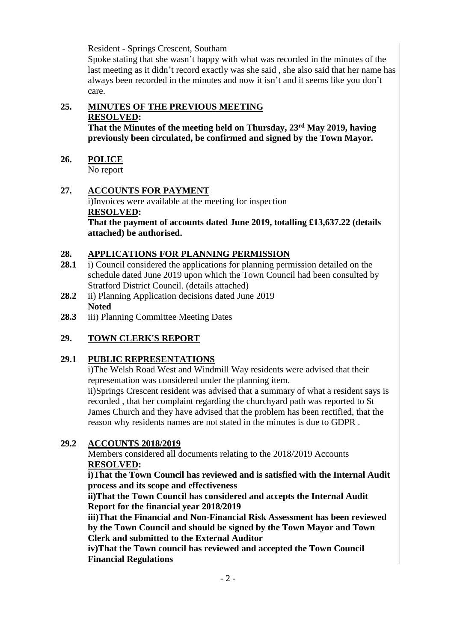Resident - Springs Crescent, Southam

Spoke stating that she wasn't happy with what was recorded in the minutes of the last meeting as it didn't record exactly was she said , she also said that her name has always been recorded in the minutes and now it isn't and it seems like you don't care.

## **25. MINUTES OF THE PREVIOUS MEETING RESOLVED:**

**That the Minutes of the meeting held on Thursday, 23rd May 2019, having previously been circulated, be confirmed and signed by the Town Mayor.** 

**26. POLICE**

No report

## **27. ACCOUNTS FOR PAYMENT**

i)Invoices were available at the meeting for inspection **RESOLVED:**

**That the payment of accounts dated June 2019, totalling £13,637.22 (details attached) be authorised.**

## **28. APPLICATIONS FOR PLANNING PERMISSION**

- **28.1** i) Council considered the applications for planning permission detailed on the schedule dated June 2019 upon which the Town Council had been consulted by Stratford District Council. (details attached)
- 28.2 ii) Planning Application decisions dated June 2019 **Noted**
- **28.3** iii) Planning Committee Meeting Dates

## **29. TOWN CLERK'S REPORT**

## **29.1 PUBLIC REPRESENTATIONS**

i)The Welsh Road West and Windmill Way residents were advised that their representation was considered under the planning item.

ii)Springs Crescent resident was advised that a summary of what a resident says is recorded , that her complaint regarding the churchyard path was reported to St James Church and they have advised that the problem has been rectified, that the reason why residents names are not stated in the minutes is due to GDPR .

#### **29.2 ACCOUNTS 2018/2019**

Members considered all documents relating to the 2018/2019 Accounts **RESOLVED:**

**i)That the Town Council has reviewed and is satisfied with the Internal Audit process and its scope and effectiveness**

**ii)That the Town Council has considered and accepts the Internal Audit Report for the financial year 2018/2019**

**iii)That the Financial and Non-Financial Risk Assessment has been reviewed by the Town Council and should be signed by the Town Mayor and Town Clerk and submitted to the External Auditor**

**iv)That the Town council has reviewed and accepted the Town Council Financial Regulations**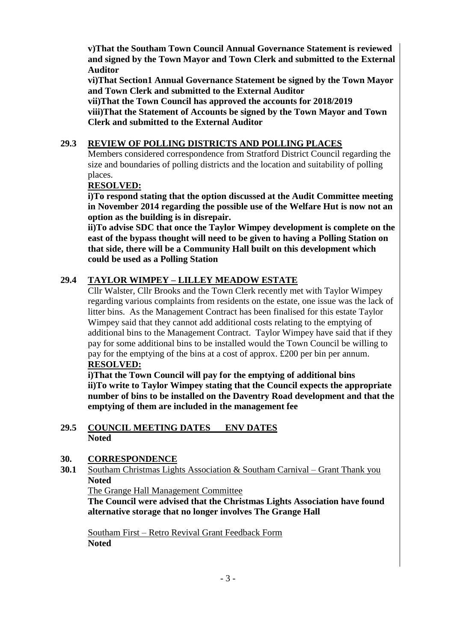**v)That the Southam Town Council Annual Governance Statement is reviewed and signed by the Town Mayor and Town Clerk and submitted to the External Auditor**

**vi)That Section1 Annual Governance Statement be signed by the Town Mayor and Town Clerk and submitted to the External Auditor**

**vii)That the Town Council has approved the accounts for 2018/2019 viii)That the Statement of Accounts be signed by the Town Mayor and Town Clerk and submitted to the External Auditor**

## **29.3 REVIEW OF POLLING DISTRICTS AND POLLING PLACES**

Members considered correspondence from Stratford District Council regarding the size and boundaries of polling districts and the location and suitability of polling places.

#### **RESOLVED:**

**i)To respond stating that the option discussed at the Audit Committee meeting in November 2014 regarding the possible use of the Welfare Hut is now not an option as the building is in disrepair.**

**ii)To advise SDC that once the Taylor Wimpey development is complete on the east of the bypass thought will need to be given to having a Polling Station on that side, there will be a Community Hall built on this development which could be used as a Polling Station**

## **29.4 TAYLOR WIMPEY – LILLEY MEADOW ESTATE**

Cllr Walster, Cllr Brooks and the Town Clerk recently met with Taylor Wimpey regarding various complaints from residents on the estate, one issue was the lack of litter bins. As the Management Contract has been finalised for this estate Taylor Wimpey said that they cannot add additional costs relating to the emptying of additional bins to the Management Contract. Taylor Wimpey have said that if they pay for some additional bins to be installed would the Town Council be willing to pay for the emptying of the bins at a cost of approx. £200 per bin per annum. **RESOLVED:**

**i)That the Town Council will pay for the emptying of additional bins ii)To write to Taylor Wimpey stating that the Council expects the appropriate number of bins to be installed on the Daventry Road development and that the emptying of them are included in the management fee** 

#### **29.5 COUNCIL MEETING DATES ENV DATES Noted**

#### **30. CORRESPONDENCE**

**30.1** Southam Christmas Lights Association & Southam Carnival – Grant Thank you **Noted**

The Grange Hall Management Committee

**The Council were advised that the Christmas Lights Association have found alternative storage that no longer involves The Grange Hall**

Southam First – Retro Revival Grant Feedback Form **Noted**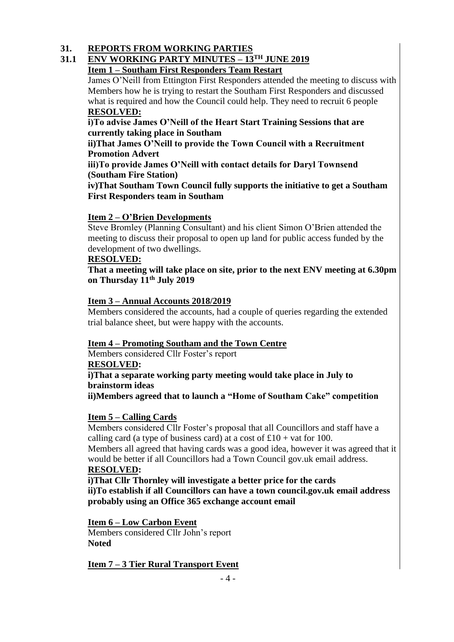#### **31. REPORTS FROM WORKING PARTIES**

#### **31.1 ENV WORKING PARTY MINUTES – 13TH JUNE 2019 Item 1 – Southam First Responders Team Restart**

James O'Neill from Ettington First Responders attended the meeting to discuss with Members how he is trying to restart the Southam First Responders and discussed what is required and how the Council could help. They need to recruit 6 people **RESOLVED:**

## **i)To advise James O'Neill of the Heart Start Training Sessions that are currently taking place in Southam**

#### **ii)That James O'Neill to provide the Town Council with a Recruitment Promotion Advert**

**iii)To provide James O'Neill with contact details for Daryl Townsend (Southam Fire Station)**

**iv)That Southam Town Council fully supports the initiative to get a Southam First Responders team in Southam**

## **Item 2 – O'Brien Developments**

Steve Bromley (Planning Consultant) and his client Simon O'Brien attended the meeting to discuss their proposal to open up land for public access funded by the development of two dwellings.

#### **RESOLVED:**

**That a meeting will take place on site, prior to the next ENV meeting at 6.30pm on Thursday 11th July 2019**

## **Item 3 – Annual Accounts 2018/2019**

Members considered the accounts, had a couple of queries regarding the extended trial balance sheet, but were happy with the accounts.

#### **Item 4 – Promoting Southam and the Town Centre**

Members considered Cllr Foster's report

#### **RESOLVED:**

**i)That a separate working party meeting would take place in July to brainstorm ideas**

**ii)Members agreed that to launch a "Home of Southam Cake" competition**

## **Item 5 – Calling Cards**

Members considered Cllr Foster's proposal that all Councillors and staff have a calling card (a type of business card) at a cost of  $\pounds 10$  + vat for 100. Members all agreed that having cards was a good idea, however it was agreed that it

would be better if all Councillors had a Town Council gov.uk email address. **RESOLVED:**

**i)That Cllr Thornley will investigate a better price for the cards ii)To establish if all Councillors can have a town council.gov.uk email address probably using an Office 365 exchange account email** 

#### **Item 6 – Low Carbon Event**

Members considered Cllr John's report **Noted**

#### **Item 7 – 3 Tier Rural Transport Event**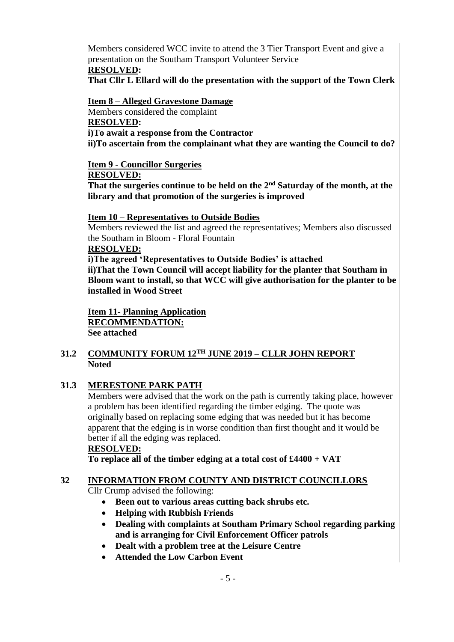Members considered WCC invite to attend the 3 Tier Transport Event and give a presentation on the Southam Transport Volunteer Service **RESOLVED:**

**That Cllr L Ellard will do the presentation with the support of the Town Clerk**

**Item 8 – Alleged Gravestone Damage** Members considered the complaint **RESOLVED: i)To await a response from the Contractor ii)To ascertain from the complainant what they are wanting the Council to do?**

#### **Item 9 - Councillor Surgeries**

#### **RESOLVED:**

**That the surgeries continue to be held on the 2nd Saturday of the month, at the library and that promotion of the surgeries is improved**

#### **Item 10 – Representatives to Outside Bodies**

Members reviewed the list and agreed the representatives; Members also discussed the Southam in Bloom - Floral Fountain

#### **RESOLVED:**

**i)The agreed 'Representatives to Outside Bodies' is attached ii)That the Town Council will accept liability for the planter that Southam in Bloom want to install, so that WCC will give authorisation for the planter to be installed in Wood Street**

**Item 11- Planning Application RECOMMENDATION: See attached**

#### **31.2 COMMUNITY FORUM 12TH JUNE 2019 – CLLR JOHN REPORT Noted**

#### **31.3 MERESTONE PARK PATH**

Members were advised that the work on the path is currently taking place, however a problem has been identified regarding the timber edging. The quote was originally based on replacing some edging that was needed but it has become apparent that the edging is in worse condition than first thought and it would be better if all the edging was replaced.

#### **RESOLVED:**

**To replace all of the timber edging at a total cost of £4400 + VAT**

#### **32 INFORMATION FROM COUNTY AND DISTRICT COUNCILLORS**

Cllr Crump advised the following:

- **Been out to various areas cutting back shrubs etc.**
- **Helping with Rubbish Friends**
- **Dealing with complaints at Southam Primary School regarding parking and is arranging for Civil Enforcement Officer patrols**
- **Dealt with a problem tree at the Leisure Centre**
- **Attended the Low Carbon Event**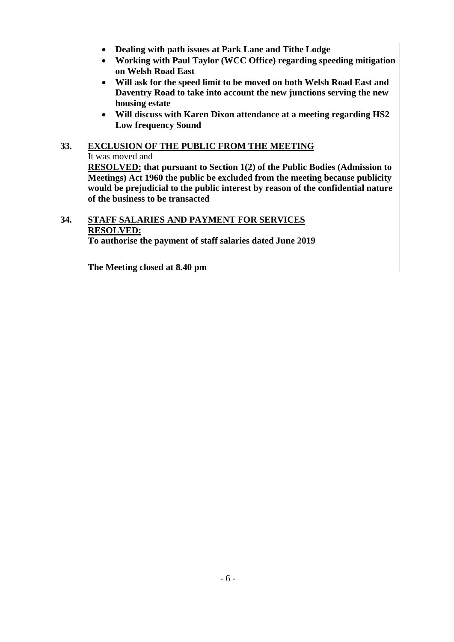- **Dealing with path issues at Park Lane and Tithe Lodge**
- **Working with Paul Taylor (WCC Office) regarding speeding mitigation on Welsh Road East**
- **Will ask for the speed limit to be moved on both Welsh Road East and Daventry Road to take into account the new junctions serving the new housing estate**
- **Will discuss with Karen Dixon attendance at a meeting regarding HS2 Low frequency Sound**

# **33. EXCLUSION OF THE PUBLIC FROM THE MEETING**

It was moved and

**RESOLVED: that pursuant to Section 1(2) of the Public Bodies (Admission to Meetings) Act 1960 the public be excluded from the meeting because publicity would be prejudicial to the public interest by reason of the confidential nature of the business to be transacted**

# **34. STAFF SALARIES AND PAYMENT FOR SERVICES RESOLVED:**

**To authorise the payment of staff salaries dated June 2019**

**The Meeting closed at 8.40 pm**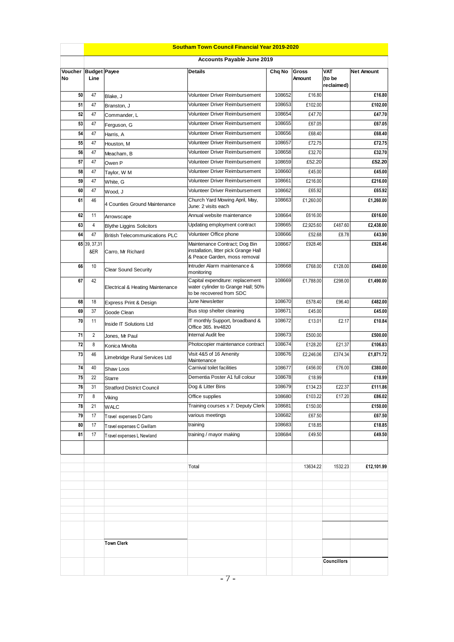|                            | <b>Southam Town Council Financial Year 2019-2020</b> |                                       |                                                                                                        |                  |                 |                                    |                   |  |
|----------------------------|------------------------------------------------------|---------------------------------------|--------------------------------------------------------------------------------------------------------|------------------|-----------------|------------------------------------|-------------------|--|
|                            |                                                      |                                       | Accounts Payable June 2019                                                                             |                  |                 |                                    |                   |  |
| Voucher Budget Payee<br>No | Line                                                 |                                       | <b>Details</b>                                                                                         | Chq No           | Gross<br>Amount | <b>VAT</b><br>(to be<br>reclaimed) | <b>Net Amount</b> |  |
| 50                         | 47                                                   | Blake, J                              | Volunteer Driver Reimbursement                                                                         | 108652           | £16.80          |                                    | £16.80            |  |
| 51                         | 47                                                   | Branston, J                           | Volunteer Driver Reimbursement                                                                         | 108653           | £102.00         |                                    | £102.00           |  |
| 52                         | 47                                                   | Commander, L                          | Volunteer Driver Reimbursement                                                                         | 108654           | £47.70          |                                    | £47.70            |  |
| 53                         | 47                                                   | Ferguson, G                           | Volunteer Driver Reimbursement<br>108655                                                               |                  | £67.05          |                                    | £67.05            |  |
| 54                         | 47                                                   | Harris, A                             | Volunteer Driver Reimbursement                                                                         | 108656           | £68.40          |                                    | £68.40            |  |
| 55                         | 47                                                   | Houston, M                            | <b>Volunteer Driver Reimbursement</b>                                                                  | 108657           |                 |                                    | £72.75            |  |
| 56                         | 47                                                   | Meacham, B                            | Volunteer Driver Reimbursement                                                                         | 108658           | £32.70          |                                    | £32.70            |  |
| 57                         | 47                                                   | Owen P                                | Volunteer Driver Reimbursement                                                                         | 108659           | £52.20          |                                    | £52.20            |  |
| 58                         | 47                                                   | Taylor, W M                           | Volunteer Driver Reimbursement                                                                         | 108660           | £45.00          |                                    | £45.00            |  |
| 59                         | 47                                                   | White, G                              | Volunteer Driver Reimbursement                                                                         | 108661           | £216.00         |                                    | £216.00           |  |
| 60                         | 47                                                   | Wood, J                               | Volunteer Driver Reimbursement                                                                         | 108662           | £65.92          |                                    | £65.92            |  |
| 61                         | 46                                                   | 4 Counties Ground Maintenance         | Church Yard Mowing April, May,<br>June: 2 visits each                                                  | 108663           | £1,260.00       |                                    | £1,260.00         |  |
| 62                         | 11                                                   | Arrowscape                            | Annual website maintenance                                                                             | 108664           | £616.00         |                                    | £616.00           |  |
| 63                         | 4                                                    | <b>Blythe Liggins Solicitors</b>      | Updating employment contract                                                                           | 108665           | £2,925.60       | £487.60                            | £2,438.00         |  |
| 64                         | 47                                                   | <b>British Telecommunications PLC</b> | Volunteer Office phone                                                                                 | 108666           | £52.68          | £8.78                              | £43.90            |  |
|                            | 65 39, 37, 31<br>&ER                                 | Carro, Mr Richard                     | Maintenance Contract; Dog Bin<br>installation, litter pick Grange Hall<br>& Peace Garden, moss removal | 108667           | £928.46         |                                    | £928.46           |  |
| 66                         | 10                                                   | <b>Clear Sound Security</b>           | Intruder Alarm maintenance &<br>monitoring                                                             | 108668           | £768.00         | £128.00                            | £640.00           |  |
| 67                         | 42                                                   | Electrical & Heating Maintenance      | Capital expenditure: replacement<br>water cylinder to Grange Hall; 50%<br>to be recovered from SDC     | 108669           | £1,788.00       | £298.00                            | £1,490.00         |  |
| 68                         | 18                                                   | Express Print & Design                | June Newsletter                                                                                        | 108670           | £578.40         | £96.40                             | £482.00           |  |
| 69                         | 37                                                   | Goode Clean                           | Bus stop shelter cleaning                                                                              | 108671           | £45.00          |                                    | £45.00            |  |
| 70                         | 11                                                   | Inside IT Solutions Ltd               | IT monthly Support, broadband &<br>Office 365. Inv4820                                                 | 108672           | £13.01          | £2.17                              | £10.84            |  |
| 71                         | $\overline{c}$                                       | Jones, Mr Paul                        | Internal Audit fee                                                                                     | 108673           | £500.00         |                                    | £500.00           |  |
| 72                         | 8                                                    | Konica Minolta                        | Photocopier maintenance contract                                                                       | 108674           | £128.20         | £21.37                             | £106.83           |  |
| 73                         | 46                                                   | Limebridge Rural Services Ltd         | Visit 4&5 of 16 Amenity<br>Maintenance<br>Carnival toilet facilities                                   | 108676<br>108677 | £2,246.06       | £374.34                            | £1,871.72         |  |
| 74                         | 40                                                   | Shaw Loos                             |                                                                                                        |                  | £456.00         | £76.00                             | £380.00           |  |
| 75                         | 22                                                   | Starre                                | Dementia Poster A1 full colour                                                                         | 108678           | £18.99          |                                    | £18.99            |  |
| 76                         | 31                                                   | <b>Stratford District Council</b>     | Dog & Litter Bins                                                                                      | 108679           | £134.23         | £22.37                             | £111.86           |  |
| 77                         | 8                                                    | Viking                                | Office supplies                                                                                        | 108680           | £103.22         | £17.20                             | £86.02            |  |
| 78                         | 21                                                   | WALC                                  | Training courses x 7: Deputy Clerk                                                                     | 108681           | £150.00         |                                    | £150.00           |  |
| 79                         | 17                                                   | Travel expenses D Carro               | various meetings                                                                                       | 108682           | £67.50          |                                    | £67.50            |  |
| 80                         | 17                                                   | Travel expenses C Gwillam             | training                                                                                               | 108683           | £18.85          |                                    | £18.85            |  |
| 81                         | 17                                                   | Travel expenses L Newland             | training / mayor making                                                                                | 108684           | £49.50          |                                    | £49.50            |  |
|                            |                                                      |                                       | Total                                                                                                  |                  | 13634.22        | 1532.23                            | £12,101.99        |  |
|                            |                                                      |                                       |                                                                                                        |                  |                 |                                    |                   |  |
|                            |                                                      |                                       |                                                                                                        |                  |                 |                                    |                   |  |
|                            |                                                      |                                       |                                                                                                        |                  |                 |                                    |                   |  |
|                            |                                                      |                                       |                                                                                                        |                  |                 |                                    |                   |  |
|                            |                                                      | <b>Town Clerk</b>                     |                                                                                                        |                  |                 |                                    |                   |  |
|                            |                                                      |                                       |                                                                                                        |                  |                 | <b>Councillors</b>                 |                   |  |